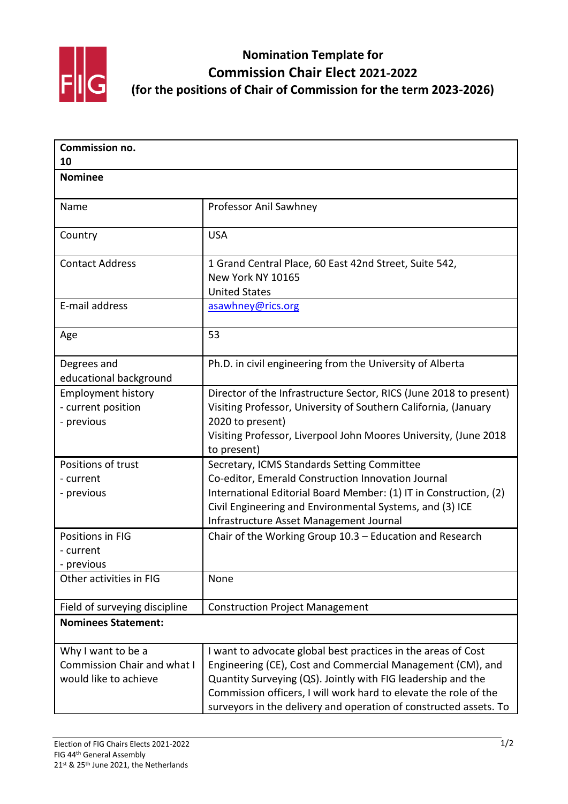

**Nomination Template for Commission Chair Elect 2021-2022 (for the positions of Chair of Commission for the term 2023-2026)**

| Commission no.<br>10                                                       |                                                                                                                                                                                                                                                                                                                                      |
|----------------------------------------------------------------------------|--------------------------------------------------------------------------------------------------------------------------------------------------------------------------------------------------------------------------------------------------------------------------------------------------------------------------------------|
|                                                                            |                                                                                                                                                                                                                                                                                                                                      |
| Name                                                                       | Professor Anil Sawhney                                                                                                                                                                                                                                                                                                               |
| Country                                                                    | <b>USA</b>                                                                                                                                                                                                                                                                                                                           |
| <b>Contact Address</b>                                                     | 1 Grand Central Place, 60 East 42nd Street, Suite 542,<br>New York NY 10165<br><b>United States</b>                                                                                                                                                                                                                                  |
| E-mail address                                                             | asawhney@rics.org                                                                                                                                                                                                                                                                                                                    |
| Age                                                                        | 53                                                                                                                                                                                                                                                                                                                                   |
| Degrees and<br>educational background                                      | Ph.D. in civil engineering from the University of Alberta                                                                                                                                                                                                                                                                            |
| <b>Employment history</b><br>- current position<br>- previous              | Director of the Infrastructure Sector, RICS (June 2018 to present)<br>Visiting Professor, University of Southern California, (January<br>2020 to present)<br>Visiting Professor, Liverpool John Moores University, (June 2018<br>to present)                                                                                         |
| Positions of trust<br>- current<br>- previous                              | Secretary, ICMS Standards Setting Committee<br>Co-editor, Emerald Construction Innovation Journal<br>International Editorial Board Member: (1) IT in Construction, (2)<br>Civil Engineering and Environmental Systems, and (3) ICE<br>Infrastructure Asset Management Journal                                                        |
| Positions in FIG<br>- current<br>- previous                                | Chair of the Working Group 10.3 - Education and Research                                                                                                                                                                                                                                                                             |
| Other activities in FIG                                                    | None                                                                                                                                                                                                                                                                                                                                 |
| Field of surveying discipline                                              | <b>Construction Project Management</b>                                                                                                                                                                                                                                                                                               |
| <b>Nominees Statement:</b>                                                 |                                                                                                                                                                                                                                                                                                                                      |
| Why I want to be a<br>Commission Chair and what I<br>would like to achieve | I want to advocate global best practices in the areas of Cost<br>Engineering (CE), Cost and Commercial Management (CM), and<br>Quantity Surveying (QS). Jointly with FIG leadership and the<br>Commission officers, I will work hard to elevate the role of the<br>surveyors in the delivery and operation of constructed assets. To |